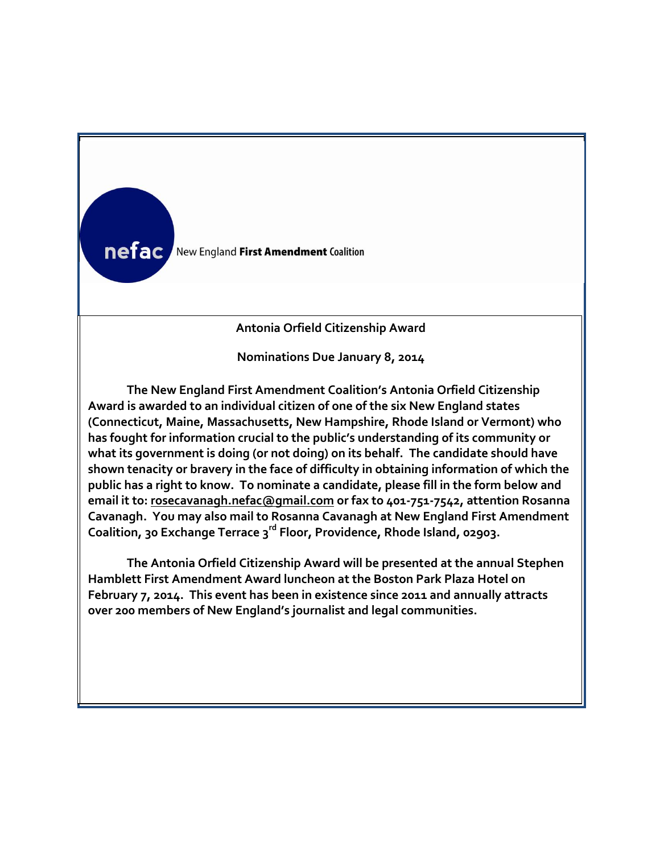

**n**

**Antonia Orfield Citizenship Award**

**Nominations Due January 8, 2014**

**The New England First Amendment Coalition's Antonia Orfield Citizenship Award is awarded to an individual citizen of one of the six New England states (Connecticut, Maine, Massachusetts, New Hampshire, Rhode Island or Vermont) who has fought for information crucial to the public's understanding of its community or what its government is doing (or not doing) on its behalf. The candidate should have shown tenacity or bravery in the face of difficulty in obtaining information of which the public has a right to know. To nominate a candidate, please fill in the form below and email it to: [rosecavanagh.nefac@gmail.com](mailto:rosecavanagh.nefac@gmail.com) or fax to 401-751-7542, attention Rosanna Cavanagh. You may also mail to Rosanna Cavanagh at New England First Amendment Coalition, 30 Exchange Terrace 3rd Floor, Providence, Rhode Island, 02903.**

**A Hamblett First Amendment Award luncheon at the Boston Park Plaza Hotel on m February 7, 2014. This event has been in existence since 2011 and annually attracts The Antonia Orfield Citizenship Award will be presented at the annual Stephen over 200 members of New England's journalist and legal communities.**